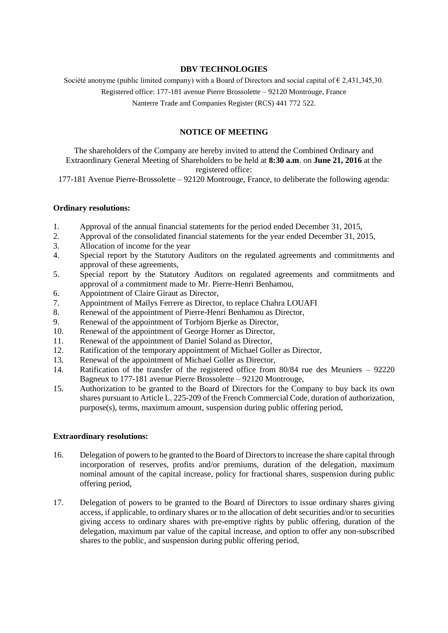### **DBV TECHNOLOGIES**

Société anonyme (public limited company) with a Board of Directors and social capital of  $\epsilon$  2.431,345,30.

Registered office: 177-181 avenue Pierre Brossolette – 92120 Montrouge, France

Nanterre Trade and Companies Register (RCS) 441 772 522.

# **NOTICE OF MEETING**

The shareholders of the Company are hereby invited to attend the Combined Ordinary and Extraordinary General Meeting of Shareholders to be held at **8:30 a.m**. on **June 21, 2016** at the registered office:

177-181 Avenue Pierre-Brossolette – 92120 Montrouge, France, to deliberate the following agenda:

## **Ordinary resolutions:**

- 1. Approval of the annual financial statements for the period ended December 31, 2015,
- 2. Approval of the consolidated financial statements for the year ended December 31, 2015,
- 3. Allocation of income for the year
- 4. Special report by the Statutory Auditors on the regulated agreements and commitments and approval of these agreements,
- 5. Special report by the Statutory Auditors on regulated agreements and commitments and approval of a commitment made to Mr. Pierre-Henri Benhamou,
- 6. Appointment of Claire Giraut as Director,
- 7. Appointment of Maïlys Ferrere as Director, to replace Chahra LOUAFI
- 8. Renewal of the appointment of Pierre-Henri Benhamou as Director,
- 9. Renewal of the appointment of Torbjorn Bjerke as Director,
- 10. Renewal of the appointment of George Horner as Director,
- 11. Renewal of the appointment of Daniel Soland as Director,
- 12. Ratification of the temporary appointment of Michael Goller as Director,
- 13. Renewal of the appointment of Michael Goller as Director,
- 14. Ratification of the transfer of the registered office from 80/84 rue des Meuniers 92220 Bagneux to 177-181 avenue Pierre Brossolette – 92120 Montrouge,
- 15. Authorization to be granted to the Board of Directors for the Company to buy back its own shares pursuant to Article L. 225-209 of the French Commercial Code, duration of authorization, purpose(s), terms, maximum amount, suspension during public offering period,

#### **Extraordinary resolutions:**

- 16. Delegation of powers to be granted to the Board of Directors to increase the share capital through incorporation of reserves, profits and/or premiums, duration of the delegation, maximum nominal amount of the capital increase, policy for fractional shares, suspension during public offering period,
- 17. Delegation of powers to be granted to the Board of Directors to issue ordinary shares giving access, if applicable, to ordinary shares or to the allocation of debt securities and/or to securities giving access to ordinary shares with pre-emptive rights by public offering, duration of the delegation, maximum par value of the capital increase, and option to offer any non-subscribed shares to the public, and suspension during public offering period,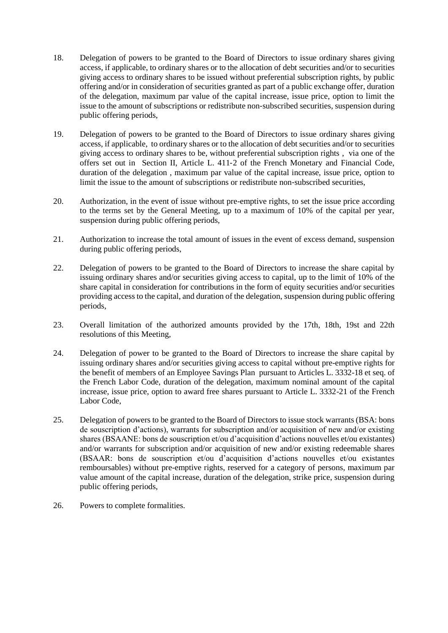- 18. Delegation of powers to be granted to the Board of Directors to issue ordinary shares giving access, if applicable, to ordinary shares or to the allocation of debt securities and/or to securities giving access to ordinary shares to be issued without preferential subscription rights, by public offering and/or in consideration of securities granted as part of a public exchange offer, duration of the delegation, maximum par value of the capital increase, issue price, option to limit the issue to the amount of subscriptions or redistribute non‐subscribed securities, suspension during public offering periods,
- 19. Delegation of powers to be granted to the Board of Directors to issue ordinary shares giving access, if applicable, to ordinary shares or to the allocation of debt securities and/or to securities giving access to ordinary shares to be, without preferential subscription rights , via one of the offers set out in Section II, Article L. 411‐2 of the French Monetary and Financial Code, duration of the delegation , maximum par value of the capital increase, issue price, option to limit the issue to the amount of subscriptions or redistribute non‐subscribed securities,
- 20. Authorization, in the event of issue without pre-emptive rights, to set the issue price according to the terms set by the General Meeting, up to a maximum of 10% of the capital per year, suspension during public offering periods,
- 21. Authorization to increase the total amount of issues in the event of excess demand, suspension during public offering periods,
- 22. Delegation of powers to be granted to the Board of Directors to increase the share capital by issuing ordinary shares and/or securities giving access to capital, up to the limit of 10% of the share capital in consideration for contributions in the form of equity securities and/or securities providing access to the capital, and duration of the delegation, suspension during public offering periods,
- 23. Overall limitation of the authorized amounts provided by the 17th, 18th, 19st and 22th resolutions of this Meeting,
- 24. Delegation of power to be granted to the Board of Directors to increase the share capital by issuing ordinary shares and/or securities giving access to capital without pre-emptive rights for the benefit of members of an Employee Savings Plan pursuant to Articles L. 3332-18 et seq. of the French Labor Code, duration of the delegation, maximum nominal amount of the capital increase, issue price, option to award free shares pursuant to Article L. 3332-21 of the French Labor Code,
- 25. Delegation of powers to be granted to the Board of Directors to issue stock warrants (BSA: bons de souscription d'actions), warrants for subscription and/or acquisition of new and/or existing shares (BSAANE: bons de souscription et/ou d'acquisition d'actions nouvelles et/ou existantes) and/or warrants for subscription and/or acquisition of new and/or existing redeemable shares (BSAAR: bons de souscription et/ou d'acquisition d'actions nouvelles et/ou existantes remboursables) without pre-emptive rights, reserved for a category of persons, maximum par value amount of the capital increase, duration of the delegation, strike price, suspension during public offering periods,
- 26. Powers to complete formalities.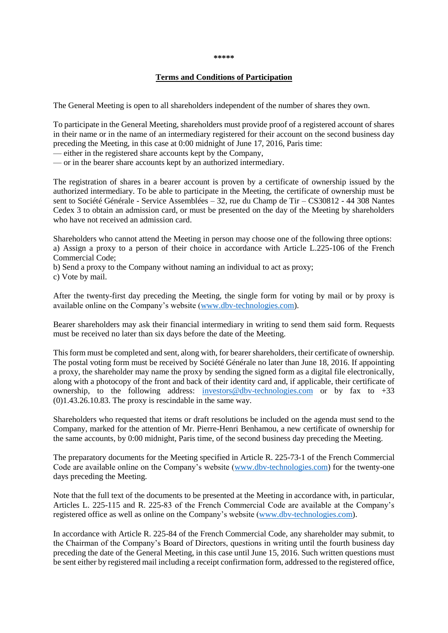#### **\*\*\*\*\***

#### **Terms and Conditions of Participation**

The General Meeting is open to all shareholders independent of the number of shares they own.

To participate in the General Meeting, shareholders must provide proof of a registered account of shares in their name or in the name of an intermediary registered for their account on the second business day preceding the Meeting, in this case at 0:00 midnight of June 17, 2016, Paris time:

— either in the registered share accounts kept by the Company,

— or in the bearer share accounts kept by an authorized intermediary.

The registration of shares in a bearer account is proven by a certificate of ownership issued by the authorized intermediary. To be able to participate in the Meeting, the certificate of ownership must be sent to Société Générale - Service Assemblées – 32, rue du Champ de Tir – CS30812 - 44 308 Nantes Cedex 3 to obtain an admission card, or must be presented on the day of the Meeting by shareholders who have not received an admission card.

Shareholders who cannot attend the Meeting in person may choose one of the following three options: a) Assign a proxy to a person of their choice in accordance with Article L.225-106 of the French Commercial Code;

b) Send a proxy to the Company without naming an individual to act as proxy;

c) Vote by mail.

After the twenty-first day preceding the Meeting, the single form for voting by mail or by proxy is available online on the Company's website [\(www.dbv-technologies.com\)](http://www.dbv-technologies.com/).

Bearer shareholders may ask their financial intermediary in writing to send them said form. Requests must be received no later than six days before the date of the Meeting.

This form must be completed and sent, along with, for bearer shareholders, their certificate of ownership. The postal voting form must be received by Société Générale no later than June 18, 2016. If appointing a proxy, the shareholder may name the proxy by sending the signed form as a digital file electronically, along with a photocopy of the front and back of their identity card and, if applicable, their certificate of ownership, to the following address: [investors@dbv-technologies.com](mailto:investors@dbv-technologies.com) or by fax to  $+33$ (0)1.43.26.10.83. The proxy is rescindable in the same way.

Shareholders who requested that items or draft resolutions be included on the agenda must send to the Company, marked for the attention of Mr. Pierre-Henri Benhamou, a new certificate of ownership for the same accounts, by 0:00 midnight, Paris time, of the second business day preceding the Meeting.

The preparatory documents for the Meeting specified in Article R. 225-73-1 of the French Commercial Code are available online on the Company's website [\(www.dbv-technologies.com\)](http://www.dbv-technologies.com/) for the twenty-one days preceding the Meeting.

Note that the full text of the documents to be presented at the Meeting in accordance with, in particular, Articles L. 225-115 and R. 225-83 of the French Commercial Code are available at the Company's registered office as well as online on the Company's website [\(www.dbv-technologies.com\)](http://www.dbv-technologies.com/).

In accordance with Article R. 225-84 of the French Commercial Code, any shareholder may submit, to the Chairman of the Company's Board of Directors, questions in writing until the fourth business day preceding the date of the General Meeting, in this case until June 15, 2016. Such written questions must be sent either by registered mail including a receipt confirmation form, addressed to the registered office,